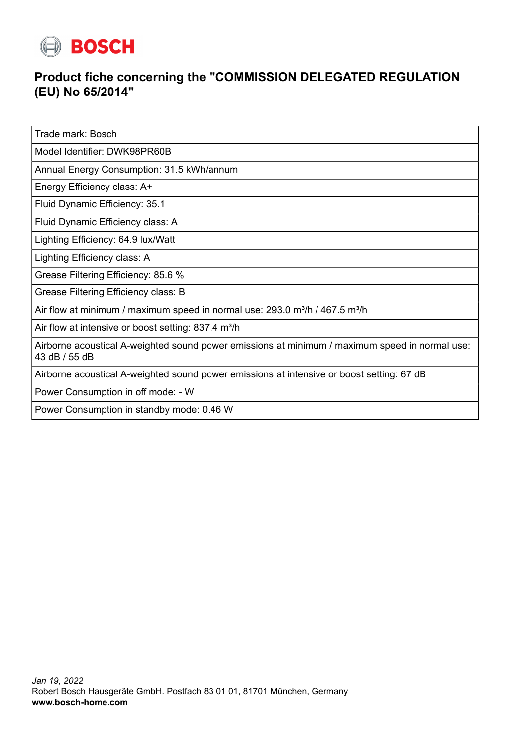

## **Product fiche concerning the "COMMISSION DELEGATED REGULATION (EU) No 65/2014"**

Trade mark: Bosch

Model Identifier: DWK98PR60B

Annual Energy Consumption: 31.5 kWh/annum

Energy Efficiency class: A+

Fluid Dynamic Efficiency: 35.1

Fluid Dynamic Efficiency class: A

Lighting Efficiency: 64.9 lux/Watt

Lighting Efficiency class: A

Grease Filtering Efficiency: 85.6 %

Grease Filtering Efficiency class: B

Air flow at minimum / maximum speed in normal use:  $293.0$  m<sup>3</sup>/h / 467.5 m<sup>3</sup>/h

Air flow at intensive or boost setting:  $837.4$  m<sup>3</sup>/h

Airborne acoustical A-weighted sound power emissions at minimum / maximum speed in normal use: 43 dB / 55 dB

Airborne acoustical A-weighted sound power emissions at intensive or boost setting: 67 dB

Power Consumption in off mode: - W

Power Consumption in standby mode: 0.46 W